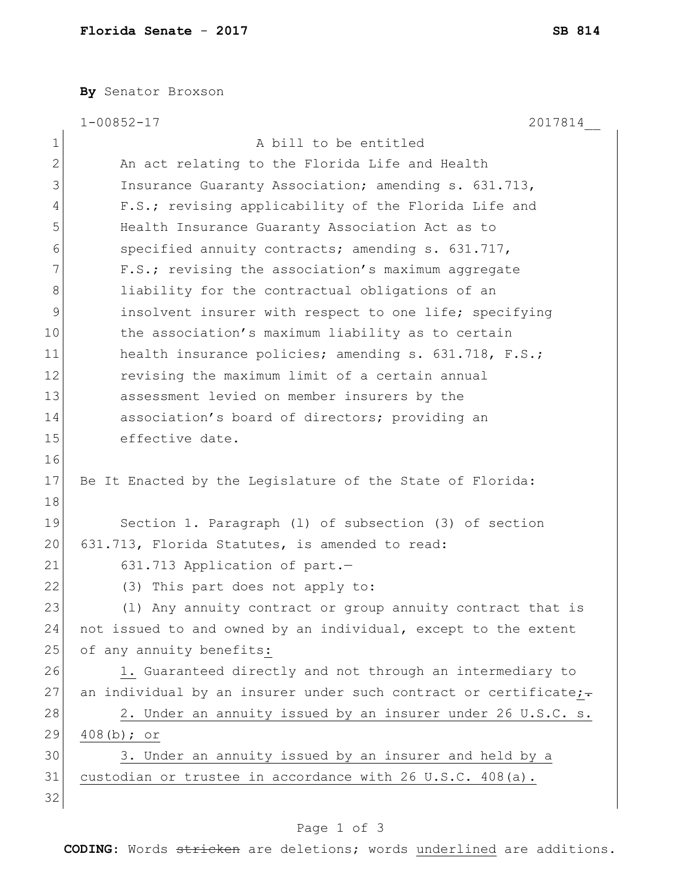**By** Senator Broxson

|              | 2017814<br>$1 - 00852 - 17$                                      |
|--------------|------------------------------------------------------------------|
| $\mathbf 1$  | A bill to be entitled                                            |
| $\mathbf{2}$ | An act relating to the Florida Life and Health                   |
| 3            | Insurance Guaranty Association; amending s. 631.713,             |
| 4            | F.S.; revising applicability of the Florida Life and             |
| 5            | Health Insurance Guaranty Association Act as to                  |
| 6            | specified annuity contracts; amending s. 631.717,                |
| 7            | F.S.; revising the association's maximum aggregate               |
| 8            | liability for the contractual obligations of an                  |
| 9            | insolvent insurer with respect to one life; specifying           |
| 10           | the association's maximum liability as to certain                |
| 11           | health insurance policies; amending s. 631.718, F.S.;            |
| $12 \,$      | revising the maximum limit of a certain annual                   |
| 13           | assessment levied on member insurers by the                      |
| 14           | association's board of directors; providing an                   |
| 15           | effective date.                                                  |
| 16           |                                                                  |
| 17           | Be It Enacted by the Legislature of the State of Florida:        |
| 18           |                                                                  |
| 19           | Section 1. Paragraph (1) of subsection (3) of section            |
| 20           | 631.713, Florida Statutes, is amended to read:                   |
| 21           | 631.713 Application of part.-                                    |
| 22           | (3) This part does not apply to:                                 |
| 23           | (1) Any annuity contract or group annuity contract that is       |
| 24           | not issued to and owned by an individual, except to the extent   |
| 25           | of any annuity benefits:                                         |
| 26           | 1. Guaranteed directly and not through an intermediary to        |
| 27           | an individual by an insurer under such contract or certificate;- |
| 28           | 2. Under an annuity issued by an insurer under 26 U.S.C. s.      |
| 29           | $408(b);$ or                                                     |
| 30           | 3. Under an annuity issued by an insurer and held by a           |
| 31           | custodian or trustee in accordance with 26 U.S.C. 408(a).        |
| 32           |                                                                  |

## Page 1 of 3

**CODING**: Words stricken are deletions; words underlined are additions.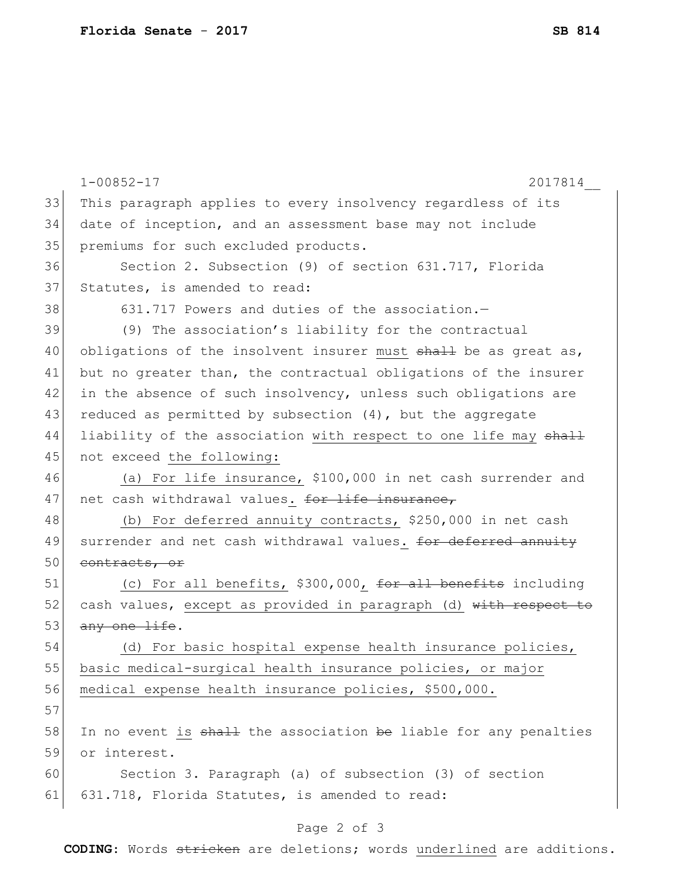|    | $1 - 00852 - 17$<br>2017814                                      |
|----|------------------------------------------------------------------|
| 33 | This paragraph applies to every insolvency regardless of its     |
| 34 | date of inception, and an assessment base may not include        |
| 35 | premiums for such excluded products.                             |
| 36 | Section 2. Subsection (9) of section 631.717, Florida            |
| 37 | Statutes, is amended to read:                                    |
| 38 | 631.717 Powers and duties of the association.-                   |
| 39 | (9) The association's liability for the contractual              |
| 40 | obligations of the insolvent insurer must shall be as great as,  |
| 41 | but no greater than, the contractual obligations of the insurer  |
| 42 | in the absence of such insolvency, unless such obligations are   |
| 43 | reduced as permitted by subsection $(4)$ , but the aggregate     |
| 44 | liability of the association with respect to one life may shall  |
| 45 | not exceed the following:                                        |
| 46 | (a) For life insurance, \$100,000 in net cash surrender and      |
| 47 | net cash withdrawal values. for life insurance,                  |
| 48 | (b) For deferred annuity contracts, \$250,000 in net cash        |
| 49 | surrender and net cash withdrawal values. for deferred annuity   |
| 50 | contracts, or                                                    |
| 51 | (c) For all benefits, \$300,000, for all benefits including      |
| 52 | cash values, except as provided in paragraph (d) with respect to |
| 53 | any one life.                                                    |
| 54 | (d) For basic hospital expense health insurance policies,        |
| 55 | basic medical-surgical health insurance policies, or major       |
| 56 | medical expense health insurance policies, \$500,000.            |
| 57 |                                                                  |
| 58 | In no event is shall the association be liable for any penalties |
| 59 | or interest.                                                     |
| 60 | Section 3. Paragraph (a) of subsection (3) of section            |
| 61 | 631.718, Florida Statutes, is amended to read:                   |
|    |                                                                  |

## Page 2 of 3

**CODING**: Words stricken are deletions; words underlined are additions.